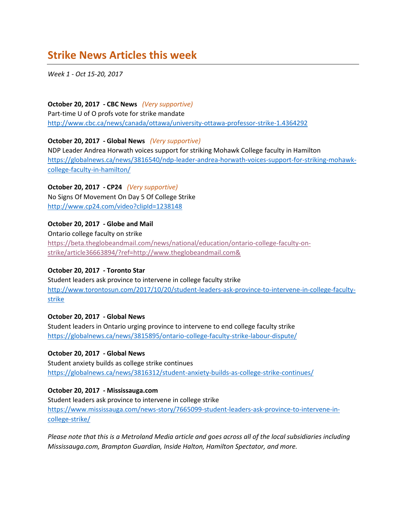# **Strike News Articles this week**

*Week 1 - Oct 15-20, 2017*

**October 20, 2017 - CBC News** *(Very supportive)* Part-time U of O profs vote for strike mandate <http://www.cbc.ca/news/canada/ottawa/university-ottawa-professor-strike-1.4364292>

#### **October 20, 2017 - Global News** *(Very supportive)*

NDP Leader Andrea Horwath voices support for striking Mohawk College faculty in Hamilton [https://globalnews.ca/news/3816540/ndp-leader-andrea-horwath-voices-support-for-striking-mohawk](https://globalnews.ca/news/3816540/ndp-leader-andrea-horwath-voices-support-for-striking-mohawk-college-faculty-in-hamilton/)[college-faculty-in-hamilton/](https://globalnews.ca/news/3816540/ndp-leader-andrea-horwath-voices-support-for-striking-mohawk-college-faculty-in-hamilton/)

**October 20, 2017 - CP24** *(Very supportive)* No Signs Of Movement On Day 5 Of College Strike <http://www.cp24.com/video?clipId=1238148>

**October 20, 2017 - Globe and Mail**

Ontario college faculty on strike [https://beta.theglobeandmail.com/news/national/education/ontario-college-faculty-on](https://beta.theglobeandmail.com/news/national/education/ontario-college-faculty-on-strike/article36663894/?ref=http://www.theglobeandmail.com&)[strike/article36663894/?ref=http://www.theglobeandmail.com&](https://beta.theglobeandmail.com/news/national/education/ontario-college-faculty-on-strike/article36663894/?ref=http://www.theglobeandmail.com&)

#### **October 20, 2017 - Toronto Star**

Student leaders ask province to intervene in college faculty strike [http://www.torontosun.com/2017/10/20/student-leaders-ask-province-to-intervene-in-college-faculty](http://www.torontosun.com/2017/10/20/student-leaders-ask-province-to-intervene-in-college-faculty-strike)[strike](http://www.torontosun.com/2017/10/20/student-leaders-ask-province-to-intervene-in-college-faculty-strike) 

## **October 20, 2017 - Global News**

Student leaders in Ontario urging province to intervene to end college faculty strike <https://globalnews.ca/news/3815895/ontario-college-faculty-strike-labour-dispute/>

#### **October 20, 2017 - Global News**

Student anxiety builds as college strike continues <https://globalnews.ca/news/3816312/student-anxiety-builds-as-college-strike-continues/>

#### **October 20, 2017 - Mississauga.com**

Student leaders ask province to intervene in college strike [https://www.mississauga.com/news-story/7665099-student-leaders-ask-province-to-intervene-in](https://www.mississauga.com/news-story/7665099-student-leaders-ask-province-to-intervene-in-college-strike/)[college-strike/](https://www.mississauga.com/news-story/7665099-student-leaders-ask-province-to-intervene-in-college-strike/)

*Please note that this is a Metroland Media article and goes across all of the local subsidiaries including Mississauga.com, Brampton Guardian, Inside Halton, Hamilton Spectator, and more.*